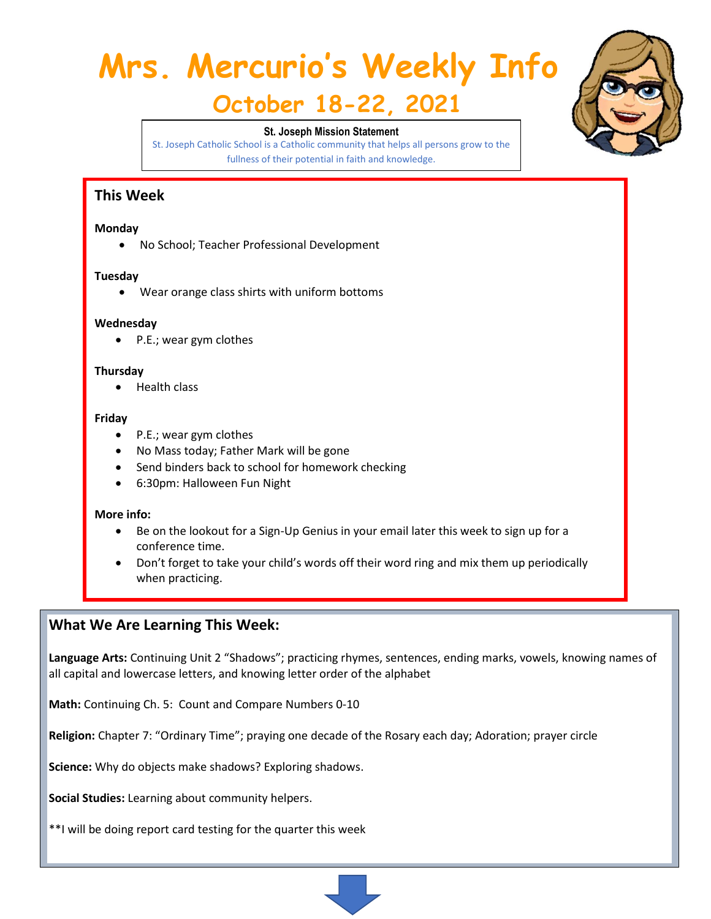# **Mrs. Mercurio's Weekly Info**

# **October 18-22, 2021**

#### **St. Joseph Mission Statement**

St. Joseph Catholic School is a Catholic community that helps all persons grow to the fullness of their potential in faith and knowledge.

### **This Week**

#### **Monday**

• No School; Teacher Professional Development

#### **Tuesday**

• Wear orange class shirts with uniform bottoms

#### **Wednesday**

• P.E.; wear gym clothes

#### **Thursday**

• Health class

#### **Friday**

- P.E.; wear gym clothes
- No Mass today; Father Mark will be gone
- Send binders back to school for homework checking
- 6:30pm: Halloween Fun Night

#### **More info:**

- Be on the lookout for a Sign-Up Genius in your email later this week to sign up for a conference time.
- Don't forget to take your child's words off their word ring and mix them up periodically when practicing.

#### **What We Are Learning This Week:**

**Language Arts:** Continuing Unit 2 "Shadows"; practicing rhymes, sentences, ending marks, vowels, knowing names of all capital and lowercase letters, and knowing letter order of the alphabet

**Math:** Continuing Ch. 5: Count and Compare Numbers 0-10

**Religion:** Chapter 7: "Ordinary Time"; praying one decade of the Rosary each day; Adoration; prayer circle

**Science:** Why do objects make shadows? Exploring shadows.

**Social Studies:** Learning about community helpers.

\*\*I will be doing report card testing for the quarter this week